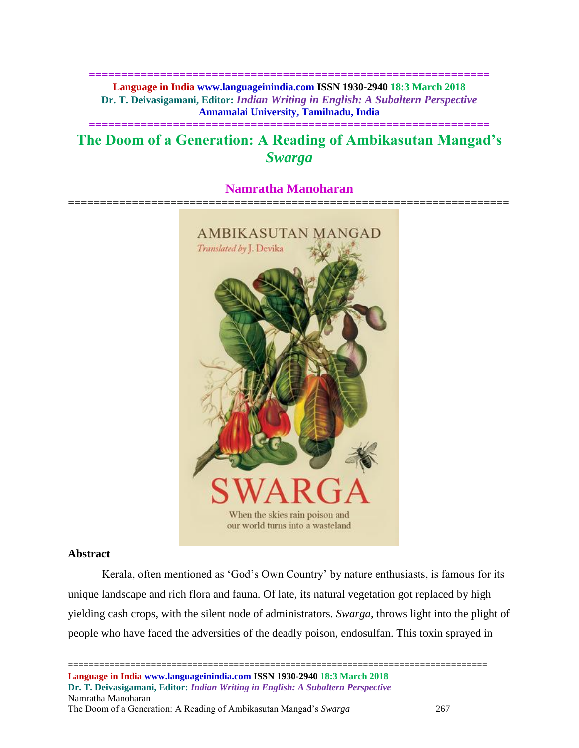**============================================================== Language in India www.languageinindia.com ISSN 1930-2940 18:3 March 2018 Dr. T. Deivasigamani, Editor:** *Indian Writing in English: A Subaltern Perspective* **Annamalai University, Tamilnadu, India**

# **The Doom of a Generation: A Reading of Ambikasutan Mangad's**  *Swarga*

**==============================================================**

# **Namratha Manoharan**



# **Abstract**

Kerala, often mentioned as 'God's Own Country' by nature enthusiasts, is famous for its unique landscape and rich flora and fauna. Of late, its natural vegetation got replaced by high yielding cash crops, with the silent node of administrators. *Swarga*, throws light into the plight of people who have faced the adversities of the deadly poison, endosulfan. This toxin sprayed in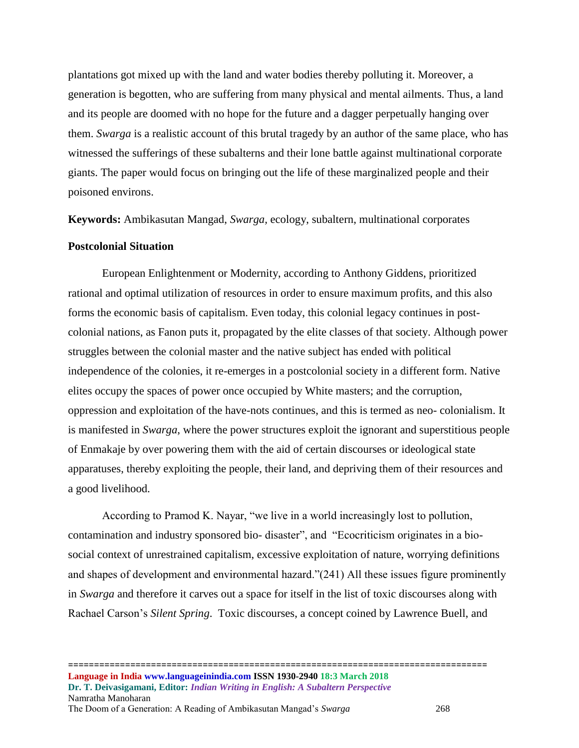plantations got mixed up with the land and water bodies thereby polluting it. Moreover, a generation is begotten, who are suffering from many physical and mental ailments. Thus, a land and its people are doomed with no hope for the future and a dagger perpetually hanging over them. *Swarga* is a realistic account of this brutal tragedy by an author of the same place, who has witnessed the sufferings of these subalterns and their lone battle against multinational corporate giants. The paper would focus on bringing out the life of these marginalized people and their poisoned environs.

**Keywords:** Ambikasutan Mangad, *Swarga,* ecology, subaltern, multinational corporates

## **Postcolonial Situation**

European Enlightenment or Modernity, according to Anthony Giddens, prioritized rational and optimal utilization of resources in order to ensure maximum profits, and this also forms the economic basis of capitalism. Even today, this colonial legacy continues in postcolonial nations, as Fanon puts it, propagated by the elite classes of that society. Although power struggles between the colonial master and the native subject has ended with political independence of the colonies, it re-emerges in a postcolonial society in a different form. Native elites occupy the spaces of power once occupied by White masters; and the corruption, oppression and exploitation of the have-nots continues, and this is termed as neo- colonialism. It is manifested in *Swarga*, where the power structures exploit the ignorant and superstitious people of Enmakaje by over powering them with the aid of certain discourses or ideological state apparatuses, thereby exploiting the people, their land, and depriving them of their resources and a good livelihood.

According to Pramod K. Nayar, "we live in a world increasingly lost to pollution, contamination and industry sponsored bio- disaster", and "Ecocriticism originates in a biosocial context of unrestrained capitalism, excessive exploitation of nature, worrying definitions and shapes of development and environmental hazard."(241) All these issues figure prominently in *Swarga* and therefore it carves out a space for itself in the list of toxic discourses along with Rachael Carson's *Silent Spring*. Toxic discourses, a concept coined by Lawrence Buell, and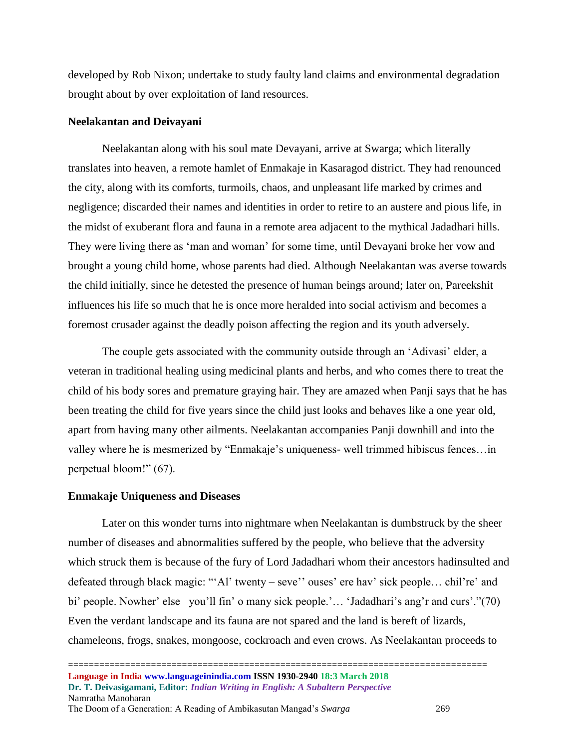developed by Rob Nixon; undertake to study faulty land claims and environmental degradation brought about by over exploitation of land resources.

#### **Neelakantan and Deivayani**

Neelakantan along with his soul mate Devayani, arrive at Swarga; which literally translates into heaven, a remote hamlet of Enmakaje in Kasaragod district. They had renounced the city, along with its comforts, turmoils, chaos, and unpleasant life marked by crimes and negligence; discarded their names and identities in order to retire to an austere and pious life, in the midst of exuberant flora and fauna in a remote area adjacent to the mythical Jadadhari hills. They were living there as 'man and woman' for some time, until Devayani broke her vow and brought a young child home, whose parents had died. Although Neelakantan was averse towards the child initially, since he detested the presence of human beings around; later on, Pareekshit influences his life so much that he is once more heralded into social activism and becomes a foremost crusader against the deadly poison affecting the region and its youth adversely.

The couple gets associated with the community outside through an 'Adivasi' elder, a veteran in traditional healing using medicinal plants and herbs, and who comes there to treat the child of his body sores and premature graying hair. They are amazed when Panji says that he has been treating the child for five years since the child just looks and behaves like a one year old, apart from having many other ailments. Neelakantan accompanies Panji downhill and into the valley where he is mesmerized by "Enmakaje's uniqueness- well trimmed hibiscus fences…in perpetual bloom!" (67).

#### **Enmakaje Uniqueness and Diseases**

Later on this wonder turns into nightmare when Neelakantan is dumbstruck by the sheer number of diseases and abnormalities suffered by the people, who believe that the adversity which struck them is because of the fury of Lord Jadadhari whom their ancestors hadinsulted and defeated through black magic: "'Al' twenty – seve'' ouses' ere hav' sick people… chil're' and bi' people. Nowher' else you'll fin' o many sick people.'... 'Jadadhari's ang'r and curs'."(70) Even the verdant landscape and its fauna are not spared and the land is bereft of lizards, chameleons, frogs, snakes, mongoose, cockroach and even crows. As Neelakantan proceeds to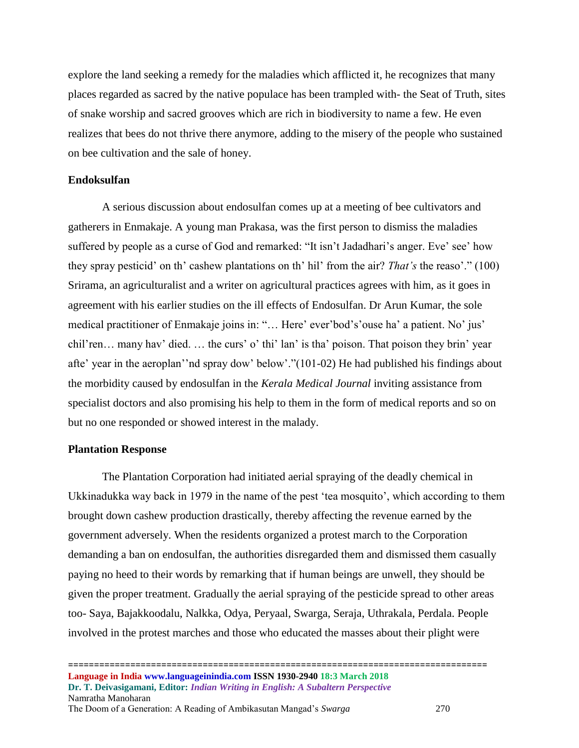explore the land seeking a remedy for the maladies which afflicted it, he recognizes that many places regarded as sacred by the native populace has been trampled with- the Seat of Truth, sites of snake worship and sacred grooves which are rich in biodiversity to name a few. He even realizes that bees do not thrive there anymore, adding to the misery of the people who sustained on bee cultivation and the sale of honey.

#### **Endoksulfan**

A serious discussion about endosulfan comes up at a meeting of bee cultivators and gatherers in Enmakaje. A young man Prakasa, was the first person to dismiss the maladies suffered by people as a curse of God and remarked: "It isn't Jadadhari's anger. Eve' see' how they spray pesticid' on th' cashew plantations on th' hil' from the air? *That's* the reaso'." (100) Srirama, an agriculturalist and a writer on agricultural practices agrees with him, as it goes in agreement with his earlier studies on the ill effects of Endosulfan. Dr Arun Kumar, the sole medical practitioner of Enmakaje joins in: "… Here' ever'bod's'ouse ha' a patient. No' jus' chil'ren… many hav' died. … the curs' o' thi' lan' is tha' poison. That poison they brin' year afte' year in the aeroplan''nd spray dow' below'."(101-02) He had published his findings about the morbidity caused by endosulfan in the *Kerala Medical Journal* inviting assistance from specialist doctors and also promising his help to them in the form of medical reports and so on but no one responded or showed interest in the malady.

#### **Plantation Response**

The Plantation Corporation had initiated aerial spraying of the deadly chemical in Ukkinadukka way back in 1979 in the name of the pest 'tea mosquito', which according to them brought down cashew production drastically, thereby affecting the revenue earned by the government adversely. When the residents organized a protest march to the Corporation demanding a ban on endosulfan, the authorities disregarded them and dismissed them casually paying no heed to their words by remarking that if human beings are unwell, they should be given the proper treatment. Gradually the aerial spraying of the pesticide spread to other areas too- Saya, Bajakkoodalu, Nalkka, Odya, Peryaal, Swarga, Seraja, Uthrakala, Perdala. People involved in the protest marches and those who educated the masses about their plight were

The Doom of a Generation: A Reading of Ambikasutan Mangad's *Swarga* 270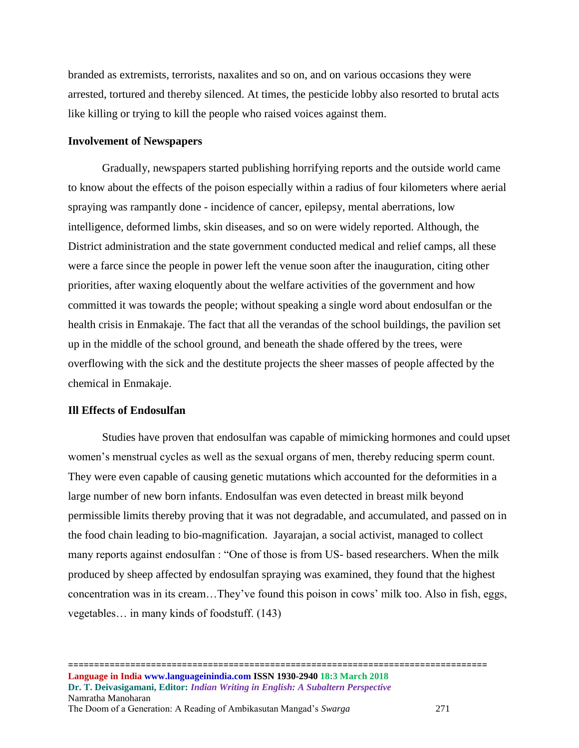branded as extremists, terrorists, naxalites and so on, and on various occasions they were arrested, tortured and thereby silenced. At times, the pesticide lobby also resorted to brutal acts like killing or trying to kill the people who raised voices against them.

#### **Involvement of Newspapers**

Gradually, newspapers started publishing horrifying reports and the outside world came to know about the effects of the poison especially within a radius of four kilometers where aerial spraying was rampantly done - incidence of cancer, epilepsy, mental aberrations, low intelligence, deformed limbs, skin diseases, and so on were widely reported. Although, the District administration and the state government conducted medical and relief camps, all these were a farce since the people in power left the venue soon after the inauguration, citing other priorities, after waxing eloquently about the welfare activities of the government and how committed it was towards the people; without speaking a single word about endosulfan or the health crisis in Enmakaje. The fact that all the verandas of the school buildings, the pavilion set up in the middle of the school ground, and beneath the shade offered by the trees, were overflowing with the sick and the destitute projects the sheer masses of people affected by the chemical in Enmakaje.

## **Ill Effects of Endosulfan**

Studies have proven that endosulfan was capable of mimicking hormones and could upset women's menstrual cycles as well as the sexual organs of men, thereby reducing sperm count. They were even capable of causing genetic mutations which accounted for the deformities in a large number of new born infants. Endosulfan was even detected in breast milk beyond permissible limits thereby proving that it was not degradable, and accumulated, and passed on in the food chain leading to bio-magnification. Jayarajan, a social activist, managed to collect many reports against endosulfan : "One of those is from US- based researchers. When the milk produced by sheep affected by endosulfan spraying was examined, they found that the highest concentration was in its cream…They've found this poison in cows' milk too. Also in fish, eggs, vegetables… in many kinds of foodstuff. (143)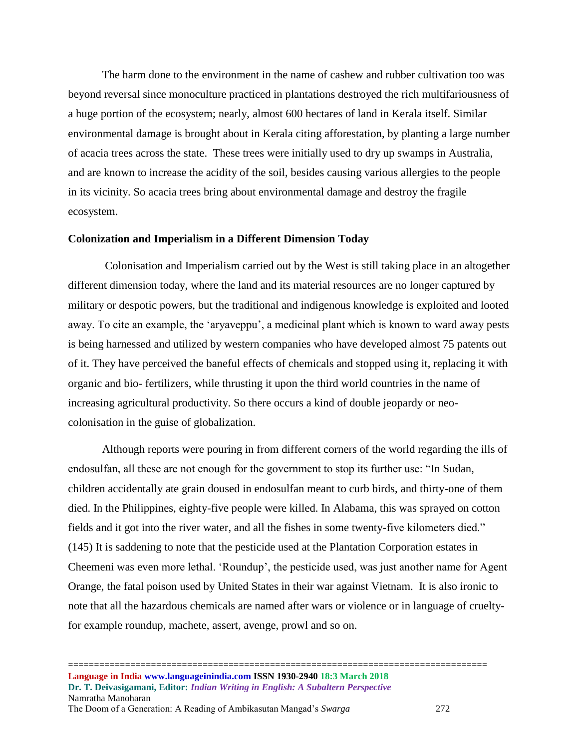The harm done to the environment in the name of cashew and rubber cultivation too was beyond reversal since monoculture practiced in plantations destroyed the rich multifariousness of a huge portion of the ecosystem; nearly, almost 600 hectares of land in Kerala itself. Similar environmental damage is brought about in Kerala citing afforestation, by planting a large number of acacia trees across the state. These trees were initially used to dry up swamps in Australia, and are known to increase the acidity of the soil, besides causing various allergies to the people in its vicinity. So acacia trees bring about environmental damage and destroy the fragile ecosystem.

#### **Colonization and Imperialism in a Different Dimension Today**

Colonisation and Imperialism carried out by the West is still taking place in an altogether different dimension today, where the land and its material resources are no longer captured by military or despotic powers, but the traditional and indigenous knowledge is exploited and looted away. To cite an example, the 'aryaveppu', a medicinal plant which is known to ward away pests is being harnessed and utilized by western companies who have developed almost 75 patents out of it. They have perceived the baneful effects of chemicals and stopped using it, replacing it with organic and bio- fertilizers, while thrusting it upon the third world countries in the name of increasing agricultural productivity. So there occurs a kind of double jeopardy or neocolonisation in the guise of globalization.

Although reports were pouring in from different corners of the world regarding the ills of endosulfan, all these are not enough for the government to stop its further use: "In Sudan, children accidentally ate grain doused in endosulfan meant to curb birds, and thirty-one of them died. In the Philippines, eighty-five people were killed. In Alabama, this was sprayed on cotton fields and it got into the river water, and all the fishes in some twenty-five kilometers died." (145) It is saddening to note that the pesticide used at the Plantation Corporation estates in Cheemeni was even more lethal. 'Roundup', the pesticide used, was just another name for Agent Orange, the fatal poison used by United States in their war against Vietnam. It is also ironic to note that all the hazardous chemicals are named after wars or violence or in language of crueltyfor example roundup, machete, assert, avenge, prowl and so on.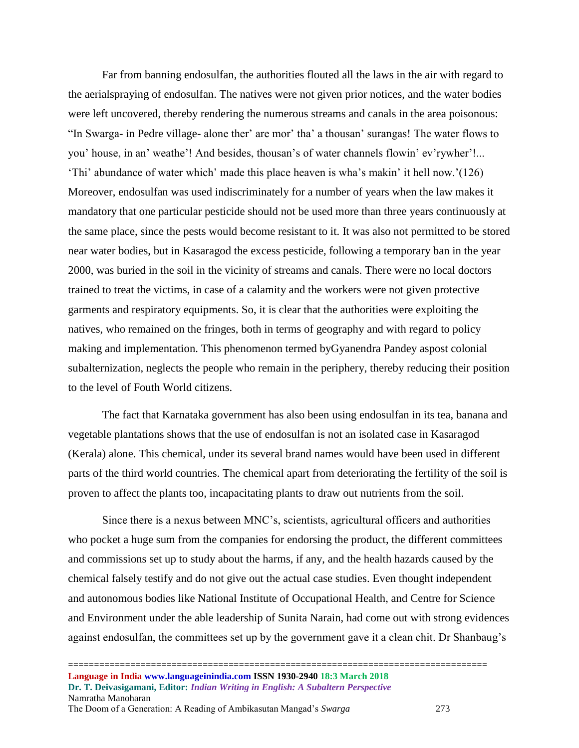Far from banning endosulfan, the authorities flouted all the laws in the air with regard to the aerialspraying of endosulfan. The natives were not given prior notices, and the water bodies were left uncovered, thereby rendering the numerous streams and canals in the area poisonous: "In Swarga- in Pedre village- alone ther' are mor' tha' a thousan' surangas! The water flows to you' house, in an' weathe'! And besides, thousan's of water channels flowin' ev'rywher'!... 'Thi' abundance of water which' made this place heaven is wha's makin' it hell now.'(126) Moreover, endosulfan was used indiscriminately for a number of years when the law makes it mandatory that one particular pesticide should not be used more than three years continuously at the same place, since the pests would become resistant to it. It was also not permitted to be stored near water bodies, but in Kasaragod the excess pesticide, following a temporary ban in the year 2000, was buried in the soil in the vicinity of streams and canals. There were no local doctors trained to treat the victims, in case of a calamity and the workers were not given protective garments and respiratory equipments. So, it is clear that the authorities were exploiting the natives, who remained on the fringes, both in terms of geography and with regard to policy making and implementation. This phenomenon termed byGyanendra Pandey aspost colonial subalternization, neglects the people who remain in the periphery, thereby reducing their position to the level of Fouth World citizens.

The fact that Karnataka government has also been using endosulfan in its tea, banana and vegetable plantations shows that the use of endosulfan is not an isolated case in Kasaragod (Kerala) alone. This chemical, under its several brand names would have been used in different parts of the third world countries. The chemical apart from deteriorating the fertility of the soil is proven to affect the plants too, incapacitating plants to draw out nutrients from the soil.

Since there is a nexus between MNC's, scientists, agricultural officers and authorities who pocket a huge sum from the companies for endorsing the product, the different committees and commissions set up to study about the harms, if any, and the health hazards caused by the chemical falsely testify and do not give out the actual case studies. Even thought independent and autonomous bodies like National Institute of Occupational Health, and Centre for Science and Environment under the able leadership of Sunita Narain, had come out with strong evidences against endosulfan, the committees set up by the government gave it a clean chit. Dr Shanbaug's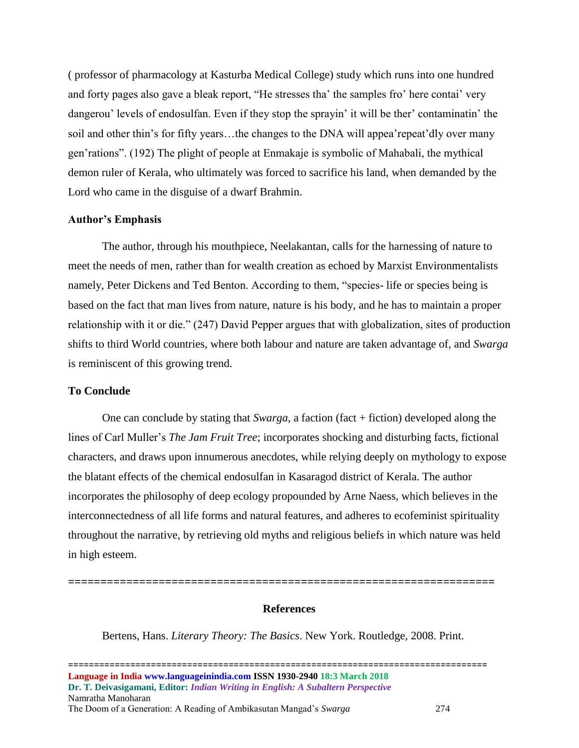( professor of pharmacology at Kasturba Medical College) study which runs into one hundred and forty pages also gave a bleak report, "He stresses tha' the samples fro' here contai' very dangerou' levels of endosulfan. Even if they stop the sprayin' it will be ther' contaminatin' the soil and other thin's for fifty years…the changes to the DNA will appea'repeat'dly over many gen'rations". (192) The plight of people at Enmakaje is symbolic of Mahabali, the mythical demon ruler of Kerala, who ultimately was forced to sacrifice his land, when demanded by the Lord who came in the disguise of a dwarf Brahmin.

#### **Author's Emphasis**

The author, through his mouthpiece, Neelakantan, calls for the harnessing of nature to meet the needs of men, rather than for wealth creation as echoed by Marxist Environmentalists namely, Peter Dickens and Ted Benton. According to them, "species- life or species being is based on the fact that man lives from nature, nature is his body, and he has to maintain a proper relationship with it or die." (247) David Pepper argues that with globalization, sites of production shifts to third World countries, where both labour and nature are taken advantage of, and *Swarga*  is reminiscent of this growing trend.

#### **To Conclude**

One can conclude by stating that *Swarga*, a faction (fact + fiction) developed along the lines of Carl Muller's *The Jam Fruit Tree*; incorporates shocking and disturbing facts, fictional characters, and draws upon innumerous anecdotes, while relying deeply on mythology to expose the blatant effects of the chemical endosulfan in Kasaragod district of Kerala. The author incorporates the philosophy of deep ecology propounded by Arne Naess, which believes in the interconnectedness of all life forms and natural features, and adheres to ecofeminist spirituality throughout the narrative, by retrieving old myths and religious beliefs in which nature was held in high esteem.

#### **References**

Bertens, Hans. *Literary Theory: The Basics*. New York. Routledge, 2008. Print.

**==================================================================**